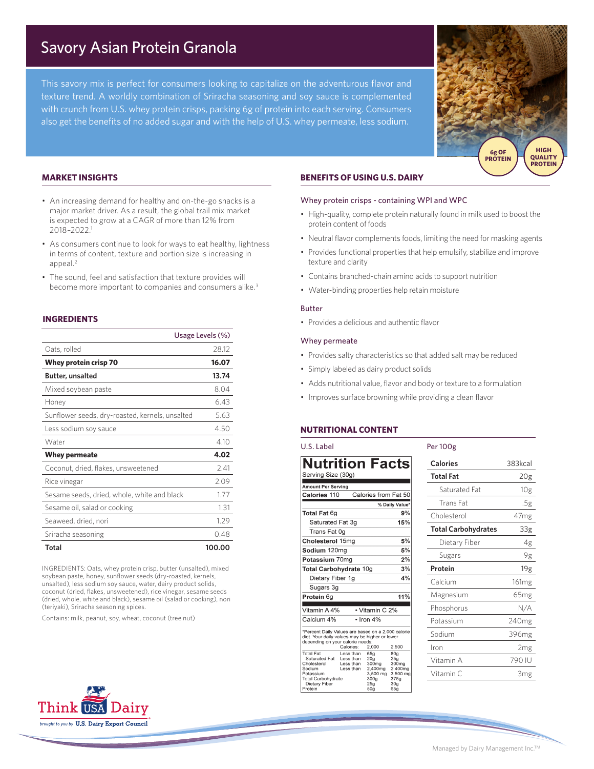# Savory Asian Protein Granola

This savory mix is perfect for consumers looking to capitalize on the adventurous flavor and texture trend. A worldly combination of Sriracha seasoning and soy sauce is complemented with crunch from U.S. whey protein crisps, packing 6g of protein into each serving. Consumers also get the benefits of no added sugar and with the help of U.S. whey permeate, less sodium.



## **MARKET INSIGHTS**

- An increasing demand for healthy and on-the-go snacks is a major market driver. As a result, the global trail mix market is expected to grow at a CAGR of more than 12% from 2018–2022.1
- As consumers continue to look for ways to eat healthy, lightness in terms of content, texture and portion size is increasing in appeal.2
- The sound, feel and satisfaction that texture provides will become more important to companies and consumers alike.<sup>3</sup>

## **INGREDIENTS**

|                                                 | Usage Levels (%) |  |
|-------------------------------------------------|------------------|--|
| Oats, rolled                                    | 28.12            |  |
| Whey protein crisp 70                           | 16.07            |  |
| <b>Butter, unsalted</b>                         | 13.74            |  |
| Mixed soybean paste                             | 8.04             |  |
| Honey                                           | 6.43             |  |
| Sunflower seeds, dry-roasted, kernels, unsalted | 5.63             |  |
| Less sodium soy sauce                           | 4.50             |  |
| Water                                           | 4.10             |  |
| <b>Whey permeate</b>                            | 4.02             |  |
| Coconut, dried, flakes, unsweetened             | 2.41             |  |
| Rice vinegar                                    | 2.09             |  |
| Sesame seeds, dried, whole, white and black     | 1.77             |  |
| Sesame oil, salad or cooking                    | 1.31             |  |
| Seaweed, dried, nori                            | 1.29             |  |
| Sriracha seasoning                              | 0.48             |  |
| Total                                           | 100.00           |  |

INGREDIENTS: Oats, whey protein crisp, butter (unsalted), mixed soybean paste, honey, sunflower seeds (dry-roasted, kernels, unsalted), less sodium soy sauce, water, dairy product solids, coconut (dried, flakes, unsweetened), rice vinegar, sesame seeds (dried, whole, white and black), sesame oil (salad or cooking), nori (teriyaki), Sriracha seasoning spices.

Contains: milk, peanut, soy, wheat, coconut (tree nut)

# **BENEFITS OF USING U.S. DAIRY**

#### Whey protein crisps - containing WPI and WPC

- High-quality, complete protein naturally found in milk used to boost the protein content of foods
- Neutral flavor complements foods, limiting the need for masking agents
- Provides functional properties that help emulsify, stabilize and improve texture and clarity
- Contains branched-chain amino acids to support nutrition
- Water-binding properties help retain moisture

#### Butter

• Provides a delicious and authentic flavor

### Whey permeate

- Provides salty characteristics so that added salt may be reduced
- Simply labeled as dairy product solids
- Adds nutritional value, flavor and body or texture to a formulation

Per 100g

• Improves surface browning while providing a clean flavor

## **NUTRITIONAL CONTENT**

## U.S. Label

| <b>Nutrition Facts</b>                                                                                                                   |                                                  |                                                                                                                  |                                                                                          |
|------------------------------------------------------------------------------------------------------------------------------------------|--------------------------------------------------|------------------------------------------------------------------------------------------------------------------|------------------------------------------------------------------------------------------|
| Serving Size (30g)                                                                                                                       |                                                  |                                                                                                                  |                                                                                          |
| <b>Amount Per Serving</b>                                                                                                                |                                                  |                                                                                                                  |                                                                                          |
| Calories 110                                                                                                                             |                                                  | Calories from Fat 50                                                                                             |                                                                                          |
|                                                                                                                                          |                                                  |                                                                                                                  | % Daily Value*                                                                           |
| <b>Total Fat 6g</b>                                                                                                                      |                                                  |                                                                                                                  | 9%                                                                                       |
| Saturated Fat 3q                                                                                                                         |                                                  |                                                                                                                  | 15%                                                                                      |
| Trans Fat 0g                                                                                                                             |                                                  |                                                                                                                  |                                                                                          |
| Cholesterol 15mg                                                                                                                         |                                                  |                                                                                                                  | 5%                                                                                       |
| Sodium 120mg                                                                                                                             |                                                  |                                                                                                                  | 5%                                                                                       |
| Potassium 70mg                                                                                                                           |                                                  |                                                                                                                  | 2%                                                                                       |
| <b>Total Carbohydrate 10g</b>                                                                                                            |                                                  |                                                                                                                  | 3%                                                                                       |
| Dietary Fiber 1g                                                                                                                         |                                                  |                                                                                                                  | 4%                                                                                       |
| Sugars 3g                                                                                                                                |                                                  |                                                                                                                  |                                                                                          |
| Protein 6g                                                                                                                               |                                                  |                                                                                                                  | 11%                                                                                      |
| Vitamin A 4%                                                                                                                             |                                                  | • Vitamin C 2%                                                                                                   |                                                                                          |
| Calcium 4%                                                                                                                               |                                                  | $\cdot$ Iron 4%                                                                                                  |                                                                                          |
| *Percent Daily Values are based on a 2,000 calorie<br>diet. Your daily values may be higher or lower<br>depending on your calorie needs: | Calories:                                        | 2,000                                                                                                            | 2,500                                                                                    |
| <b>Total Fat</b><br>Saturated Fat<br>Cholesterol<br>Sodium<br>Potassium<br><b>Total Carbohydrate</b><br>Dietary Fiber<br>Protein         | Less than<br>Less than<br>Less than<br>Less than | 65a<br>20 <sub>a</sub><br>300mg<br>2,400mg<br>$3,500 \, \text{mg}$<br>300 <sub>a</sub><br>25a<br>50 <sub>q</sub> | 80a<br>25 <sub>a</sub><br>300mg<br>2.400mg<br>3,500 mg<br>375a<br>30 <sub>a</sub><br>65g |

| Calories                   | 383kcal           |
|----------------------------|-------------------|
| Total Fat                  | 20g               |
| Saturated Fat              | 10g               |
| <b>Trans Fat</b>           | .5g               |
| Cholesterol                | 47 <sub>mg</sub>  |
| <b>Total Carbohydrates</b> | 33g               |
| Dietary Fiber              | 4g                |
| Sugars                     | 9g                |
| Protein                    | 19g               |
| Calcium                    | 161 <sub>mg</sub> |
| Magnesium                  | 65 <sub>mg</sub>  |
| Phosphorus                 | N/A               |
| Potassium                  | 240 <sub>mg</sub> |
| Sodium                     | 396mg             |
| Iron                       | 2mg               |
| Vitamin A                  | 790 IU            |
| Vitamin C                  | 3mg               |



Managed by Dairy Management Inc.TM